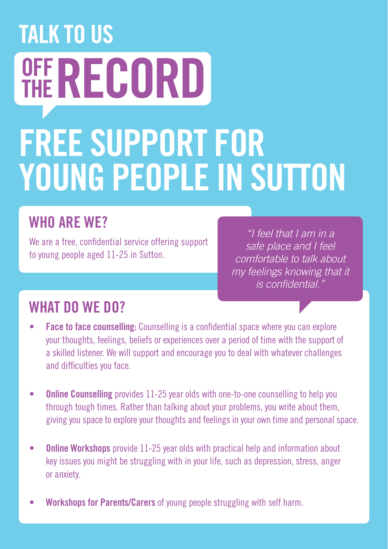# **TALK TO US OFF RECORD** FREE SUPPORT FOR YOUNG PEOPLE IN SUTTON

## WHO ARF WF?

We are a free, confidential service offering support to young people aged 11-25 in Sutton.

*"I feel that I am in a safe place and I feel comfortable to talk about my feelings knowing that it is confidential."*

### WHAT DO WE DO?

- **Face to face counselling:** Counselling is a confidential space where you can explore your thoughts, feelings, beliefs or experiences over a period of time with the support of a skilled listener. We will support and encourage you to deal with whatever challenges and difficulties you face.
- Online Counselling provides 11-25 year olds with one-to-one counselling to help you through tough times. Rather than talking about your problems, you write about them, giving you space to explore your thoughts and feelings in your own time and personal space.
- **Online Workshops** provide 11-25 year olds with practical help and information about key issues you might be struggling with in your life, such as depression, stress, anger or anxiety.
- Workshops for Parents/Carers of young people struggling with self harm.